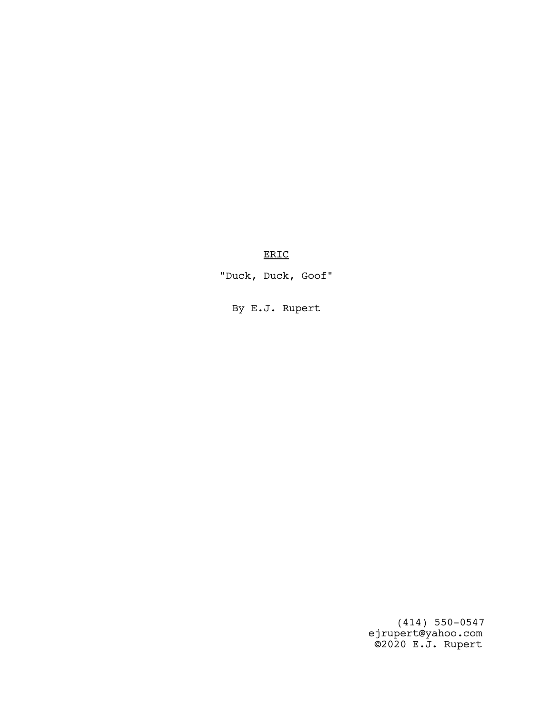ERIC

"Duck, Duck, Goof"

By E.J. Rupert

 (414) 550-0547 ejrupert@yahoo.com ©2020 E.J. Rupert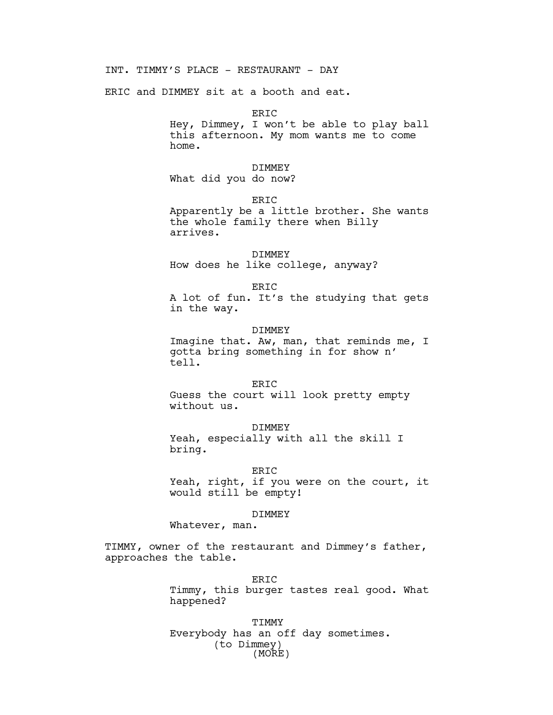INT. TIMMY'S PLACE - RESTAURANT - DAY

ERIC and DIMMEY sit at a booth and eat.

ERIC Hey, Dimmey, I won't be able to play ball this afternoon. My mom wants me to come home.

#### DIMMEY

What did you do now?

ERIC

Apparently be a little brother. She wants the whole family there when Billy arrives.

# DIMMEY

How does he like college, anyway?

ER<sub>TC</sub>

A lot of fun. It's the studying that gets in the way.

### DIMMEY

Imagine that. Aw, man, that reminds me, I gotta bring something in for show n' tell.

#### ERIC

Guess the court will look pretty empty without us.

### DIMMEY

Yeah, especially with all the skill I bring.

### ERIC

Yeah, right, if you were on the court, it would still be empty!

#### DIMMEY

Whatever, man.

TIMMY, owner of the restaurant and Dimmey's father, approaches the table.

> ERIC Timmy, this burger tastes real good. What happened?

TIMMY Everybody has an off day sometimes. (to Dimmey) (MORE)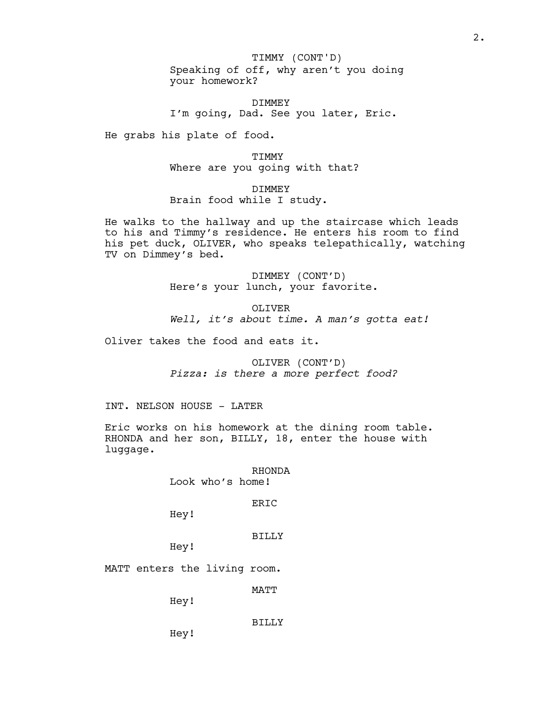Speaking of off, why aren't you doing your homework? TIMMY (CONT'D)

DIMMEY I'm going, Dad. See you later, Eric.

He grabs his plate of food.

TIMMY Where are you going with that?

DIMMEY Brain food while I study.

He walks to the hallway and up the staircase which leads to his and Timmy's residence. He enters his room to find his pet duck, OLIVER, who speaks telepathically, watching TV on Dimmey's bed.

> DIMMEY (CONT'D) Here's your lunch, your favorite.

OLIVER Well, it's about time. A man's gotta eat!

Oliver takes the food and eats it.

OLIVER (CONT'D) Pizza: is there a more perfect food?

INT. NELSON HOUSE - LATER

Eric works on his homework at the dining room table. RHONDA and her son, BILLY, 18, enter the house with luggage.

> RHONDA Look who's home!

> > ERIC

Hey!

BILLY

Hey!

MATT enters the living room.

MATT

Hey!

Hey!

BILLY

2.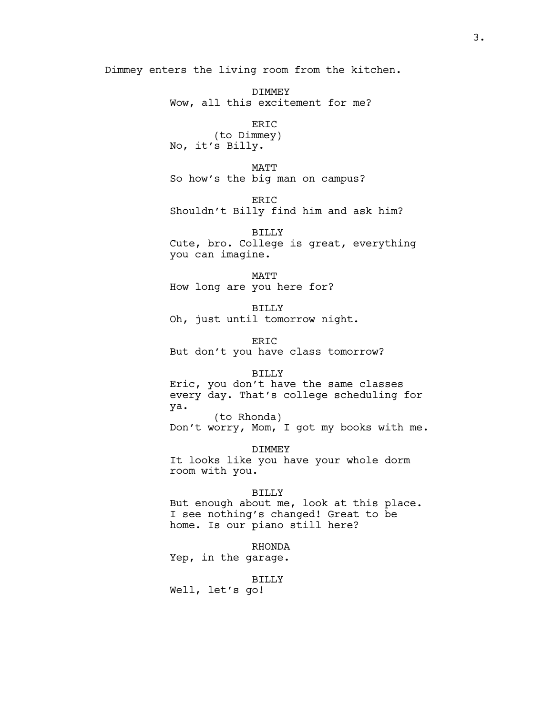Dimmey enters the living room from the kitchen.

DIMMEY Wow, all this excitement for me?

ERIC (to Dimmey) No, it's Billy.

MATT So how's the big man on campus?

ERIC Shouldn't Billy find him and ask him?

BILLY Cute, bro. College is great, everything you can imagine.

MATT How long are you here for?

BILLY Oh, just until tomorrow night.

ERIC But don't you have class tomorrow?

### BILLY

Eric, you don't have the same classes every day. That's college scheduling for ya. (to Rhonda)

Don't worry, Mom, I got my books with me.

DIMMEY

It looks like you have your whole dorm room with you.

### BILLY

But enough about me, look at this place. I see nothing's changed! Great to be home. Is our piano still here?

### RHONDA

Yep, in the garage.

### BILLY

Well, let's go!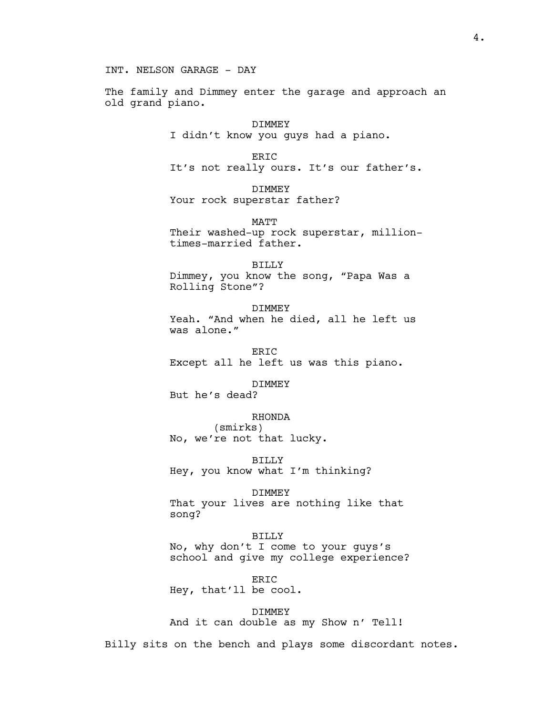INT. NELSON GARAGE - DAY

The family and Dimmey enter the garage and approach an old grand piano.

> DIMMEY I didn't know you guys had a piano.

ERIC It's not really ours. It's our father's.

DIMMEY Your rock superstar father?

MATT Their washed-up rock superstar, milliontimes-married father.

BILLY Dimmey, you know the song, "Papa Was a Rolling Stone"?

DIMMEY Yeah. "And when he died, all he left us was alone."

ERIC Except all he left us was this piano.

DIMMEY

But he's dead?

RHONDA

(smirks) No, we're not that lucky.

BILLY Hey, you know what I'm thinking?

DIMMEY

That your lives are nothing like that song?

# BILLY

No, why don't I come to your guys's school and give my college experience?

ERIC Hey, that'll be cool.

DIMMEY And it can double as my Show n' Tell!

Billy sits on the bench and plays some discordant notes.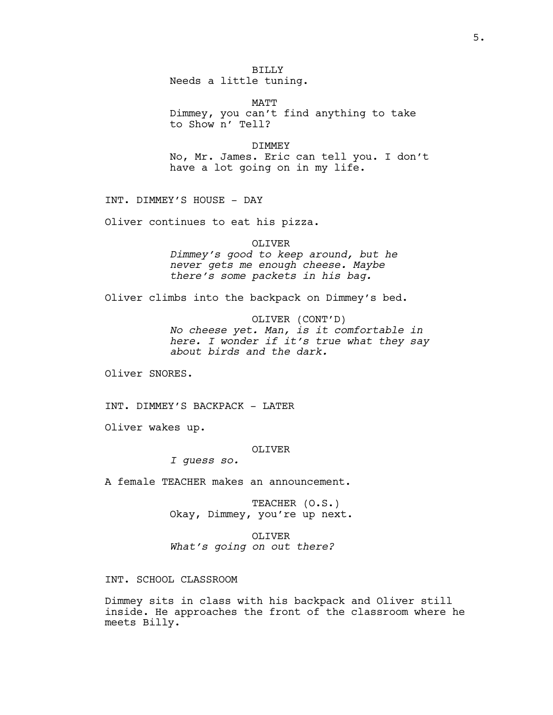# BILLY

Needs a little tuning.

MATT Dimmey, you can't find anything to take to Show n' Tell?

#### DIMMEY

No, Mr. James. Eric can tell you. I don't have a lot going on in my life.

INT. DIMMEY'S HOUSE - DAY

Oliver continues to eat his pizza.

# OLIVER

Dimmey's good to keep around, but he never gets me enough cheese. Maybe there's some packets in his bag.

Oliver climbs into the backpack on Dimmey's bed.

OLIVER (CONT'D)

No cheese yet. Man, is it comfortable in here. I wonder if it's true what they say about birds and the dark.

Oliver SNORES.

INT. DIMMEY'S BACKPACK - LATER

Oliver wakes up.

### OLIVER

I guess so.

A female TEACHER makes an announcement.

TEACHER (O.S.) Okay, Dimmey, you're up next.

OLIVER What's going on out there?

INT. SCHOOL CLASSROOM

Dimmey sits in class with his backpack and Oliver still inside. He approaches the front of the classroom where he meets Billy.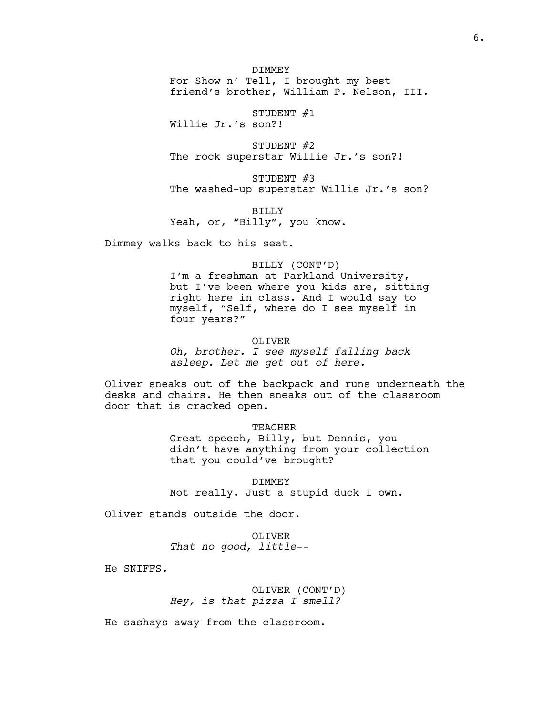DIMMEY For Show n' Tell, I brought my best friend's brother, William P. Nelson, III.

STUDENT #1

Willie Jr.'s son?!

STUDENT #2 The rock superstar Willie Jr.'s son?!

STUDENT #3 The washed-up superstar Willie Jr.'s son?

BILLY Yeah, or, "Billy", you know.

Dimmey walks back to his seat.

### BILLY (CONT'D)

I'm a freshman at Parkland University, but I've been where you kids are, sitting right here in class. And I would say to myself, "Self, where do I see myself in four years?"

#### OLIVER

Oh, brother. I see myself falling back asleep. Let me get out of here.

Oliver sneaks out of the backpack and runs underneath the desks and chairs. He then sneaks out of the classroom door that is cracked open.

# TEACHER

Great speech, Billy, but Dennis, you didn't have anything from your collection that you could've brought?

DIMMEY

Not really. Just a stupid duck I own.

Oliver stands outside the door.

OLIVER That no good, little--

He SNIFFS.

OLIVER (CONT'D) Hey, is that pizza I smell?

He sashays away from the classroom.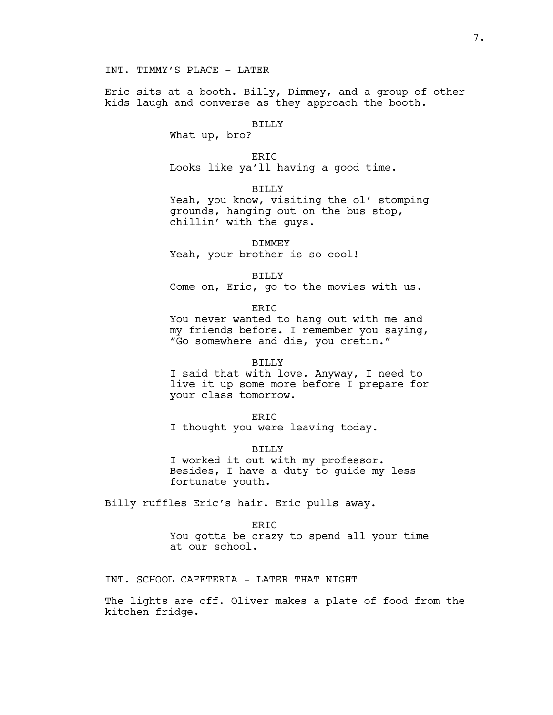Eric sits at a booth. Billy, Dimmey, and a group of other kids laugh and converse as they approach the booth.

# BILLY

What up, bro?

**ERIC** Looks like ya'll having a good time.

BILLY

Yeah, you know, visiting the ol' stomping grounds, hanging out on the bus stop, chillin' with the guys.

DIMMEY

Yeah, your brother is so cool!

BILLY

Come on, Eric, go to the movies with us.

ER<sub>IC</sub>

You never wanted to hang out with me and my friends before. I remember you saying, "Go somewhere and die, you cretin."

### BILLY

I said that with love. Anyway, I need to live it up some more before I prepare for your class tomorrow.

ERIC

I thought you were leaving today.

BILLY

I worked it out with my professor. Besides, I have a duty to guide my less fortunate youth.

Billy ruffles Eric's hair. Eric pulls away.

ER<sub>IC</sub> You gotta be crazy to spend all your time

at our school.

INT. SCHOOL CAFETERIA - LATER THAT NIGHT

The lights are off. Oliver makes a plate of food from the kitchen fridge.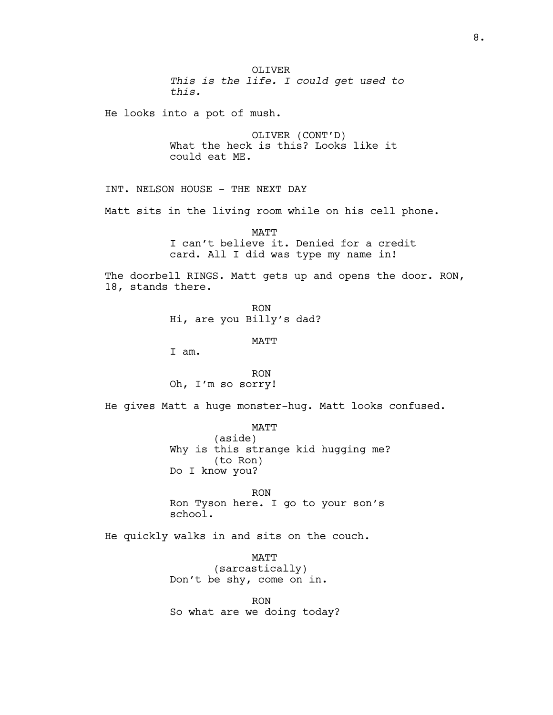OLIVER This is the life. I could get used to this.

He looks into a pot of mush.

OLIVER (CONT'D) What the heck is this? Looks like it could eat ME.

INT. NELSON HOUSE - THE NEXT DAY

Matt sits in the living room while on his cell phone.

MATT I can't believe it. Denied for a credit card. All I did was type my name in!

The doorbell RINGS. Matt gets up and opens the door. RON, 18, stands there.

> RON Hi, are you Billy's dad?

> > MATT

I am.

RON Oh, I'm so sorry!

He gives Matt a huge monster-hug. Matt looks confused.

MATT (aside) Why is this strange kid hugging me? (to Ron) Do I know you?

RON Ron Tyson here. I go to your son's school.

He quickly walks in and sits on the couch.

MATT (sarcastically) Don't be shy, come on in.

RON So what are we doing today?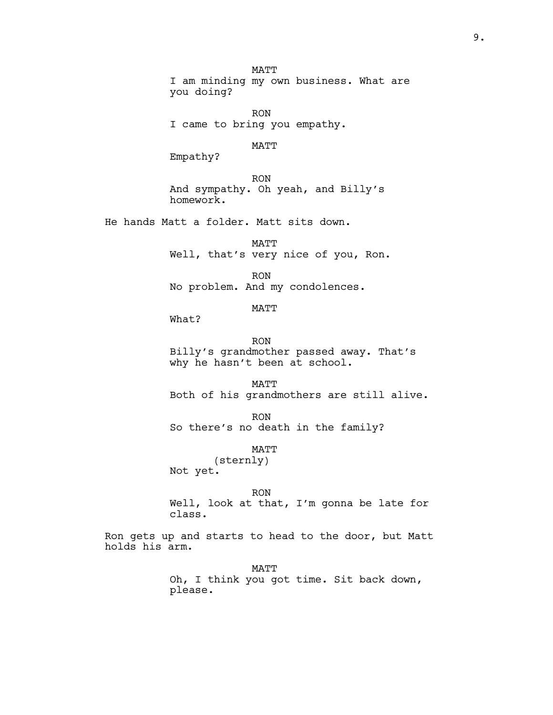MATT I am minding my own business. What are you doing? RON I came to bring you empathy. MATT Empathy? RON And sympathy. Oh yeah, and Billy's homework. He hands Matt a folder. Matt sits down. MATT Well, that's very nice of you, Ron. RON No problem. And my condolences. MATT What? RON Billy's grandmother passed away. That's why he hasn't been at school. **MATT** Both of his grandmothers are still alive. RON So there's no death in the family? MATT (sternly) Not yet. RON Well, look at that, I'm gonna be late for class. Ron gets up and starts to head to the door, but Matt holds his arm. MATT

Oh, I think you got time. Sit back down, please.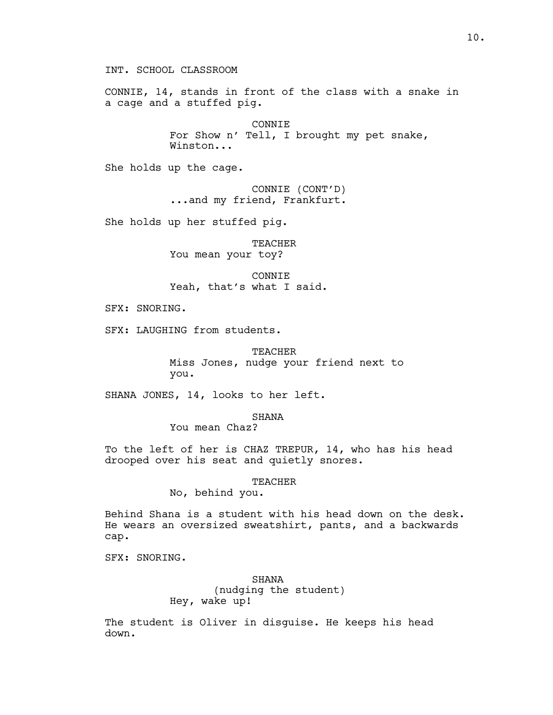INT. SCHOOL CLASSROOM

CONNIE, 14, stands in front of the class with a snake in a cage and a stuffed pig.

> CONNIE For Show n' Tell, I brought my pet snake, Winston...

She holds up the cage.

CONNIE (CONT'D) ...and my friend, Frankfurt.

She holds up her stuffed pig.

TEACHER You mean your toy?

CONNIE Yeah, that's what I said.

SFX: SNORING.

SFX: LAUGHING from students.

TEACHER Miss Jones, nudge your friend next to you.

SHANA JONES, 14, looks to her left.

SHANA

You mean Chaz?

To the left of her is CHAZ TREPUR, 14, who has his head drooped over his seat and quietly snores.

# TEACHER

No, behind you.

Behind Shana is a student with his head down on the desk. He wears an oversized sweatshirt, pants, and a backwards cap.

SFX: SNORING.

SHANA (nudging the student) Hey, wake up!

The student is Oliver in disguise. He keeps his head down.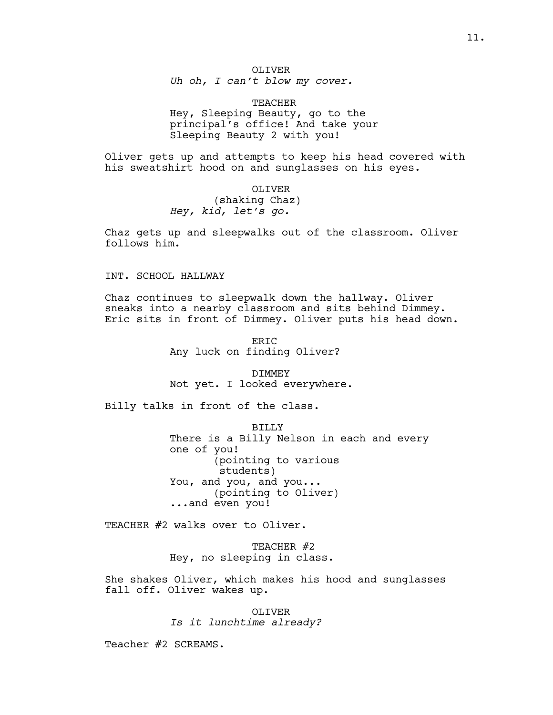# OLIVER Uh oh, I can't blow my cover.

TEACHER Hey, Sleeping Beauty, go to the principal's office! And take your Sleeping Beauty 2 with you!

Oliver gets up and attempts to keep his head covered with his sweatshirt hood on and sunglasses on his eyes.

> OLIVER (shaking Chaz) Hey, kid, let's go.

Chaz gets up and sleepwalks out of the classroom. Oliver follows him.

INT. SCHOOL HALLWAY

Chaz continues to sleepwalk down the hallway. Oliver sneaks into a nearby classroom and sits behind Dimmey. Eric sits in front of Dimmey. Oliver puts his head down.

> ERIC Any luck on finding Oliver?

DIMMEY Not yet. I looked everywhere.

Billy talks in front of the class.

BILLY There is a Billy Nelson in each and every one of you! (pointing to various students) You, and you, and you... (pointing to Oliver) ...and even you!

TEACHER #2 walks over to Oliver.

TEACHER #2 Hey, no sleeping in class.

She shakes Oliver, which makes his hood and sunglasses fall off. Oliver wakes up.

> OLIVER Is it lunchtime already?

Teacher #2 SCREAMS.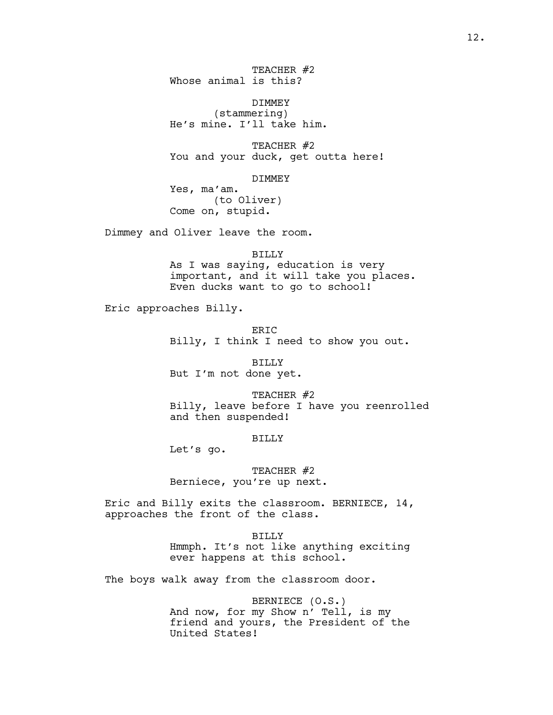TEACHER #2 Whose animal is this?

DIMMEY (stammering) He's mine. I'll take him.

TEACHER #2 You and your duck, get outta here!

DIMMEY

Yes, ma'am. (to Oliver) Come on, stupid.

Dimmey and Oliver leave the room.

BILLY As I was saying, education is very important, and it will take you places. Even ducks want to go to school!

Eric approaches Billy.

ER<sub>IC</sub> Billy, I think I need to show you out.

BILLY But I'm not done yet.

TEACHER #2 Billy, leave before I have you reenrolled and then suspended!

BILLY

Let's go.

TEACHER #2 Berniece, you're up next.

Eric and Billy exits the classroom. BERNIECE, 14, approaches the front of the class.

BILLY

Hmmph. It's not like anything exciting ever happens at this school.

The boys walk away from the classroom door.

BERNIECE (O.S.) And now, for my Show n' Tell, is my friend and yours, the President of the United States!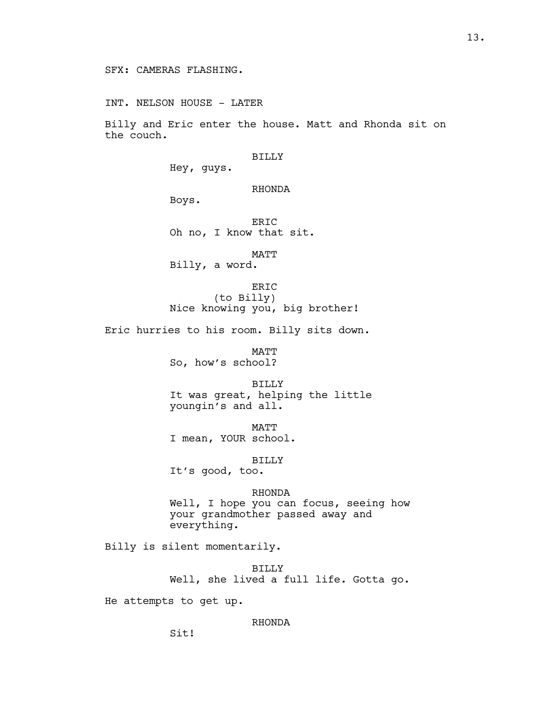INT. NELSON HOUSE - LATER

Billy and Eric enter the house. Matt and Rhonda sit on the couch.

### BILLY

Hey, guys.

# RHONDA

Boys.

ERIC Oh no, I know that sit.

MATT

Billy, a word.

ERIC (to Billy) Nice knowing you, big brother!

Eric hurries to his room. Billy sits down.

MATT So, how's school?

BILLY It was great, helping the little youngin's and all.

MATT I mean, YOUR school.

BILLY

It's good, too.

# RHONDA Well, I hope you can focus, seeing how your grandmother passed away and everything.

Billy is silent momentarily.

BILLY Well, she lived a full life. Gotta go.

He attempts to get up.

# RHONDA

Sit!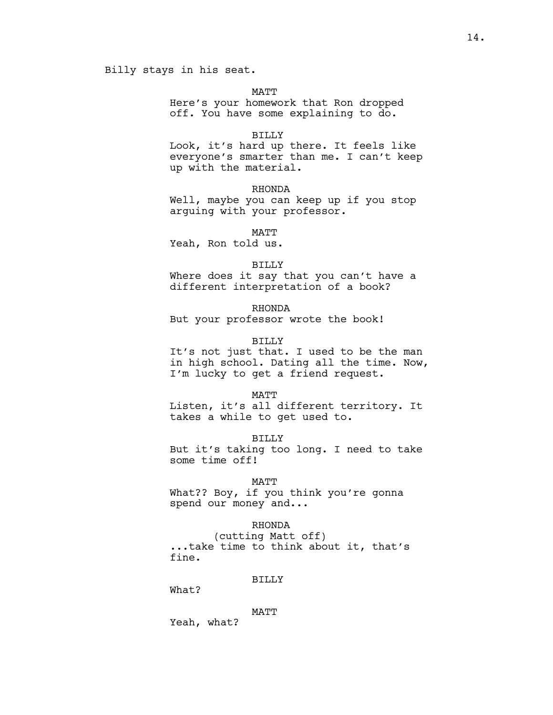# Billy stays in his seat.

MATT

Here's your homework that Ron dropped off. You have some explaining to do.

### BILLY

Look, it's hard up there. It feels like everyone's smarter than me. I can't keep up with the material.

### RHONDA

Well, maybe you can keep up if you stop arguing with your professor.

**MATT** 

Yeah, Ron told us.

#### BILLY

Where does it say that you can't have a different interpretation of a book?

### RHONDA

But your professor wrote the book!

### BILLY

It's not just that. I used to be the man in high school. Dating all the time. Now, I'm lucky to get a friend request.

#### MATT

Listen, it's all different territory. It takes a while to get used to.

#### BILLY

But it's taking too long. I need to take some time off!

#### MATT

What?? Boy, if you think you're gonna spend our money and...

# RHONDA

(cutting Matt off) ...take time to think about it, that's fine.

#### BILLY

What?

### MATT

Yeah, what?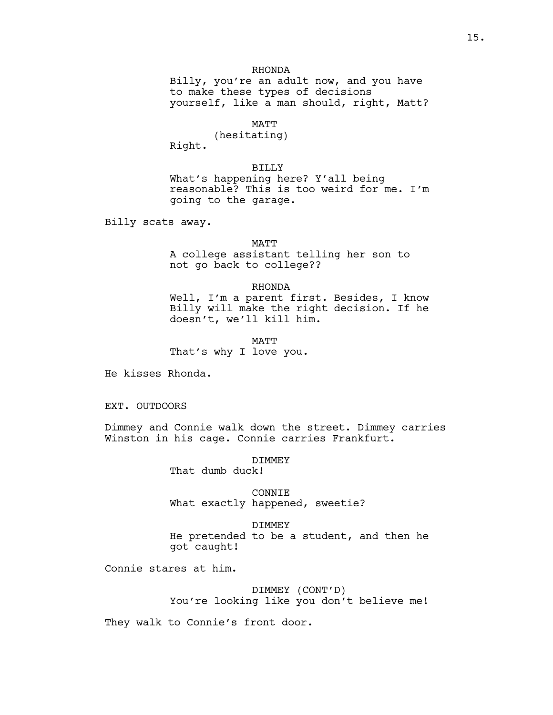# RHONDA

Billy, you're an adult now, and you have to make these types of decisions yourself, like a man should, right, Matt?

# MATT

(hesitating)

Right.

BILLY What's happening here? Y'all being reasonable? This is too weird for me. I'm going to the garage.

Billy scats away.

#### MATT

A college assistant telling her son to not go back to college??

#### RHONDA

Well, I'm a parent first. Besides, I know Billy will make the right decision. If he doesn't, we'll kill him.

MATT That's why I love you.

He kisses Rhonda.

EXT. OUTDOORS

Dimmey and Connie walk down the street. Dimmey carries Winston in his cage. Connie carries Frankfurt.

DIMMEY

That dumb duck!

CONNIE What exactly happened, sweetie?

DIMMEY

He pretended to be a student, and then he got caught!

Connie stares at him.

DIMMEY (CONT'D) You're looking like you don't believe me!

They walk to Connie's front door.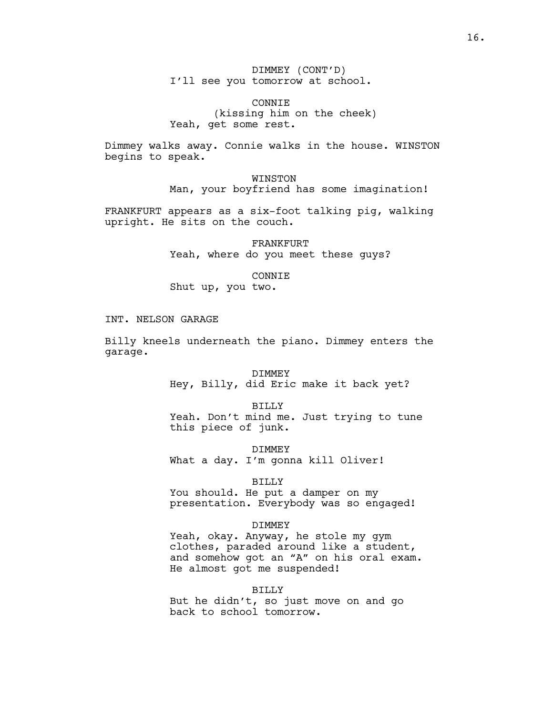DIMMEY (CONT'D) I'll see you tomorrow at school.

CONNIE (kissing him on the cheek) Yeah, get some rest.

Dimmey walks away. Connie walks in the house. WINSTON begins to speak.

> WINSTON Man, your boyfriend has some imagination!

FRANKFURT appears as a six-foot talking pig, walking upright. He sits on the couch.

> FRANKFURT Yeah, where do you meet these guys?

### CONNIE

Shut up, you two.

# INT. NELSON GARAGE

Billy kneels underneath the piano. Dimmey enters the garage.

> DIMMEY Hey, Billy, did Eric make it back yet?

BILLY Yeah. Don't mind me. Just trying to tune this piece of junk.

DIMMEY What a day. I'm gonna kill Oliver!

#### BILLY

You should. He put a damper on my presentation. Everybody was so engaged!

### DIMMEY

Yeah, okay. Anyway, he stole my gym clothes, paraded around like a student, and somehow got an "A" on his oral exam. He almost got me suspended!

#### BILLY

But he didn't, so just move on and go back to school tomorrow.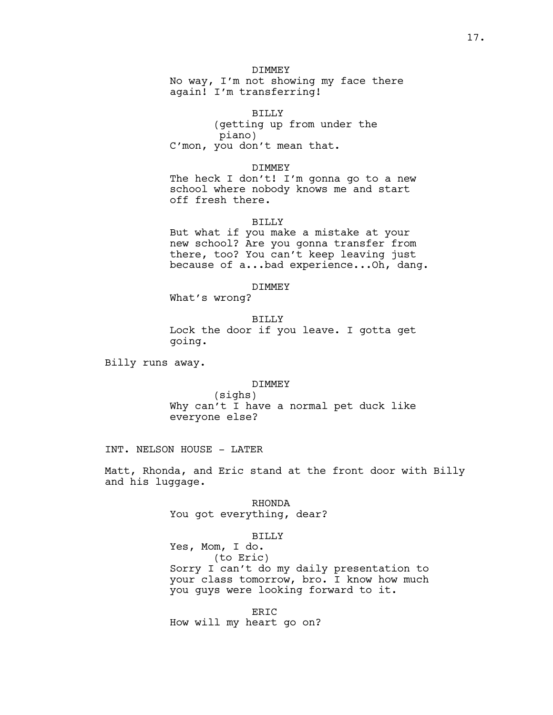# DIMMEY

No way, I'm not showing my face there again! I'm transferring!

BILLY (getting up from under the piano) C'mon, you don't mean that.

DIMMEY The heck I don't! I'm gonna go to a new school where nobody knows me and start off fresh there.

#### BILLY

But what if you make a mistake at your new school? Are you gonna transfer from there, too? You can't keep leaving just because of a...bad experience...Oh, dang.

# DIMMEY

What's wrong?

BILLY Lock the door if you leave. I gotta get going.

Billy runs away.

#### DIMMEY

(sighs) Why can't I have a normal pet duck like everyone else?

INT. NELSON HOUSE - LATER

Matt, Rhonda, and Eric stand at the front door with Billy and his luggage.

> RHONDA You got everything, dear?

# BILLY

Yes, Mom, I do. (to Eric) Sorry I can't do my daily presentation to your class tomorrow, bro. I know how much you guys were looking forward to it.

ERIC How will my heart go on?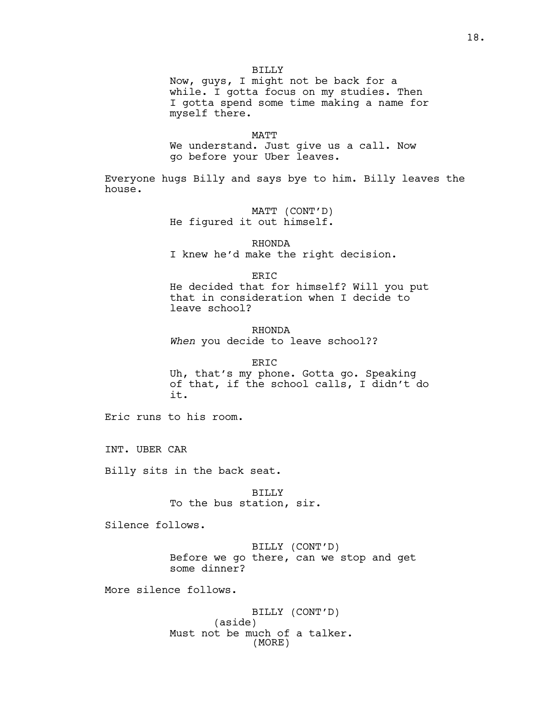Now, guys, I might not be back for a while. I gotta focus on my studies. Then I gotta spend some time making a name for myself there.

MATT We understand. Just give us a call. Now go before your Uber leaves.

Everyone hugs Billy and says bye to him. Billy leaves the house.

> MATT (CONT'D) He figured it out himself.

RHONDA I knew he'd make the right decision.

ERIC He decided that for himself? Will you put that in consideration when I decide to leave school?

RHONDA When you decide to leave school??

ERIC Uh, that's my phone. Gotta go. Speaking of that, if the school calls, I didn't do it.

Eric runs to his room.

INT. UBER CAR

Billy sits in the back seat.

BILLY To the bus station, sir.

Silence follows.

BILLY (CONT'D) Before we go there, can we stop and get some dinner?

More silence follows.

BILLY (CONT'D) (aside) Must not be much of a talker. (MORE)